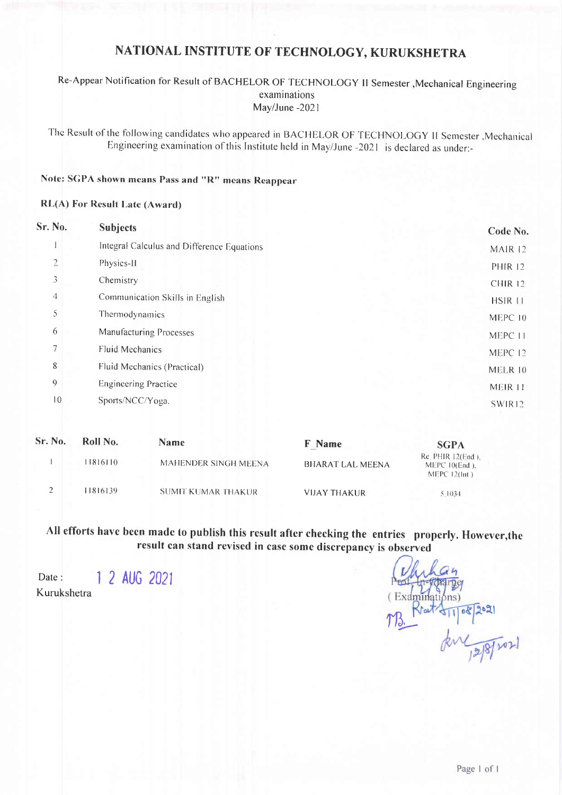# NATIONAL INSTITUTE OF TECHNOLOGY, KURUKSHETRA

## Re-Appear Notification for Result of BACHELOR OF TECHNOLOGY II Semester , Mechanical Engineering examinations May/June -2021

The Result of the following candidates who appeared in BACHELOR OF TECHNOLOGY II Semester , Mechanical Engineering examination of this Institute held in May/June -2021 is declared as under:-

## Note: SGPA shown means Pass and "R" means Reappear

#### **RL(A) For Result Late (Award)**

| Sr. No.        | <b>Subjects</b>                            | Code No.           |
|----------------|--------------------------------------------|--------------------|
|                | Integral Calculus and Difference Equations | MAIR <sub>12</sub> |
| $\overline{2}$ | Physics-II                                 | <b>PHIR 12</b>     |
| 3              | Chemistry                                  | <b>CHIR 12</b>     |
| 4              | Communication Skills in English            | HSIR 11            |
| 5              | Thermodynamics                             | MEPC 10            |
| 6              | <b>Manufacturing Processes</b>             | MEPC 11            |
| 7              | <b>Fluid Mechanics</b>                     | MEPC 12            |
| 8              | Fluid Mechanics (Practical)                | MELR 10            |
| $\mathbf 9$    | <b>Engineering Practice</b>                | MEIR 11            |
| 10             | Sports/NCC/Yoga.                           | SWIR12             |
|                |                                            |                    |

| Sr. No. | Roll No. | <b>Name</b>               | <b>F</b> Name       | <b>SGPA</b>                                               |
|---------|----------|---------------------------|---------------------|-----------------------------------------------------------|
|         | 1816110  | MAHENDER SINGH MEENA      | BHARAT LAL MEENA    | $Re$ PHIR $12$ (End).<br>MEPC10(End).<br>MEPC $12$ (Int.) |
|         | 1816139  | <b>SUMIT KUMAR THAKUR</b> | <b>VIJAY THAKUR</b> | 5.1034                                                    |

All efforts have been made to publish this result after checking the entries properly. However, the result can stand revised in case some discrepancy is observed

1 2 AUG 2021 Date: Kurukshetra

Examinations)  $08$ For 12/8/2021